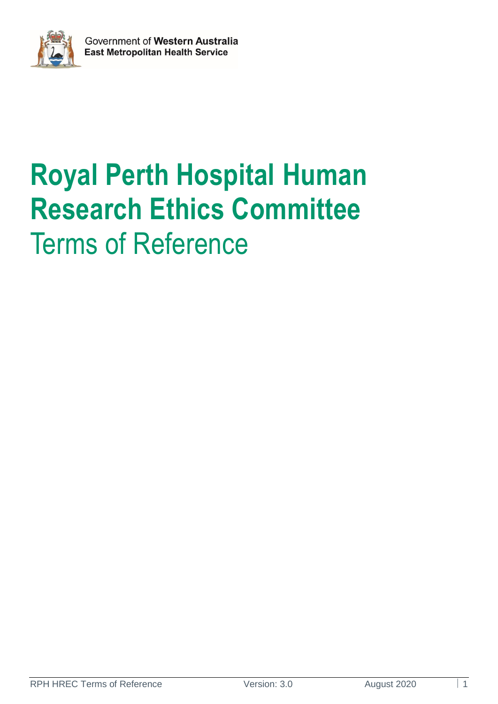

# **Royal Perth Hospital Human Research Ethics Committee**  Terms of Reference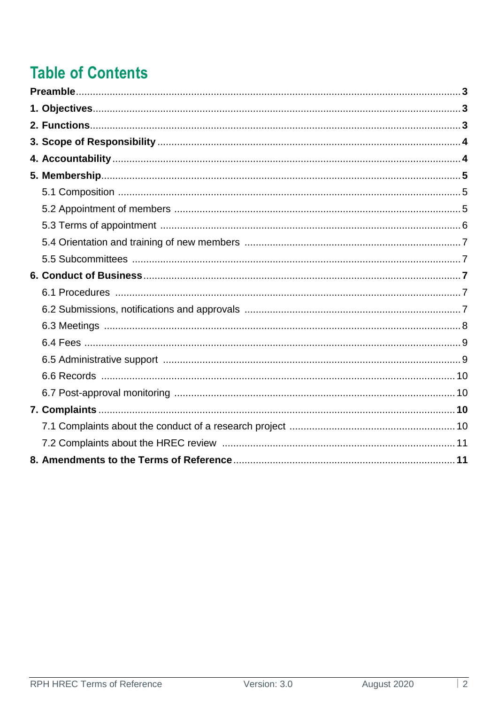# **Table of Contents**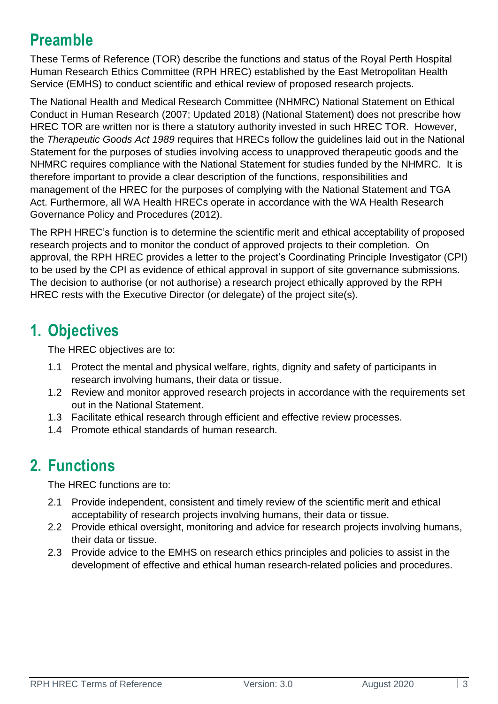## **Preamble**

These Terms of Reference (TOR) describe the functions and status of the Royal Perth Hospital Human Research Ethics Committee (RPH HREC) established by the East Metropolitan Health Service (EMHS) to conduct scientific and ethical review of proposed research projects.

The National Health and Medical Research Committee (NHMRC) National Statement on Ethical Conduct in Human Research (2007; Updated 2018) (National Statement) does not prescribe how HREC TOR are written nor is there a statutory authority invested in such HREC TOR. However, the *Therapeutic Goods Act 1989* requires that HRECs follow the guidelines laid out in the National Statement for the purposes of studies involving access to unapproved therapeutic goods and the NHMRC requires compliance with the National Statement for studies funded by the NHMRC. It is therefore important to provide a clear description of the functions, responsibilities and management of the HREC for the purposes of complying with the National Statement and TGA Act. Furthermore, all WA Health HRECs operate in accordance with the WA Health Research Governance Policy and Procedures (2012).

The RPH HREC's function is to determine the scientific merit and ethical acceptability of proposed research projects and to monitor the conduct of approved projects to their completion. On approval, the RPH HREC provides a letter to the project's Coordinating Principle Investigator (CPI) to be used by the CPI as evidence of ethical approval in support of site governance submissions. The decision to authorise (or not authorise) a research project ethically approved by the RPH HREC rests with the Executive Director (or delegate) of the project site(s).

### **1. Objectives**

The HREC objectives are to:

- 1.1 Protect the mental and physical welfare, rights, dignity and safety of participants in research involving humans, their data or tissue.
- 1.2 Review and monitor approved research projects in accordance with the requirements set out in the National Statement.
- 1.3 Facilitate ethical research through efficient and effective review processes.
- 1.4 Promote ethical standards of human research.

### **2. Functions**

The HREC functions are to:

- 2.1 Provide independent, consistent and timely review of the scientific merit and ethical acceptability of research projects involving humans, their data or tissue.
- 2.2 Provide ethical oversight, monitoring and advice for research projects involving humans, their data or tissue.
- 2.3 Provide advice to the EMHS on research ethics principles and policies to assist in the development of effective and ethical human research-related policies and procedures.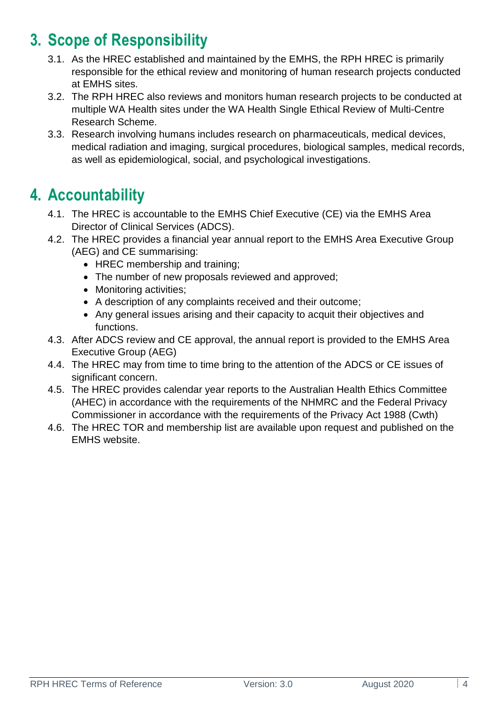### **3. Scope of Responsibility**

- 3.1. As the HREC established and maintained by the EMHS, the RPH HREC is primarily responsible for the ethical review and monitoring of human research projects conducted at EMHS sites.
- 3.2. The RPH HREC also reviews and monitors human research projects to be conducted at multiple WA Health sites under the WA Health Single Ethical Review of Multi-Centre Research Scheme.
- 3.3. Research involving humans includes research on pharmaceuticals, medical devices, medical radiation and imaging, surgical procedures, biological samples, medical records, as well as epidemiological, social, and psychological investigations.

### **4. Accountability**

- 4.1. The HREC is accountable to the EMHS Chief Executive (CE) via the EMHS Area Director of Clinical Services (ADCS).
- 4.2. The HREC provides a financial year annual report to the EMHS Area Executive Group (AEG) and CE summarising:
	- HREC membership and training:
	- The number of new proposals reviewed and approved;
	- Monitoring activities:
	- A description of any complaints received and their outcome;
	- Any general issues arising and their capacity to acquit their objectives and functions.
- 4.3. After ADCS review and CE approval, the annual report is provided to the EMHS Area Executive Group (AEG)
- 4.4. The HREC may from time to time bring to the attention of the ADCS or CE issues of significant concern.
- 4.5. The HREC provides calendar year reports to the Australian Health Ethics Committee (AHEC) in accordance with the requirements of the NHMRC and the Federal Privacy Commissioner in accordance with the requirements of the Privacy Act 1988 (Cwth)
- 4.6. The HREC TOR and membership list are available upon request and published on the EMHS website.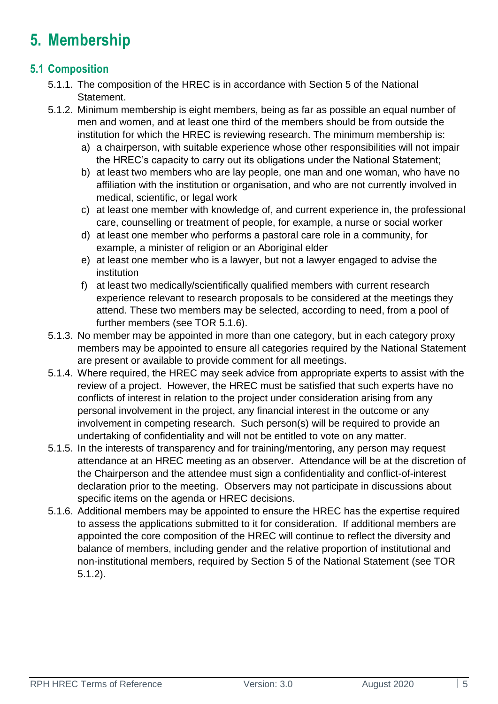### **5. Membership**

### **5.1 Composition**

- 5.1.1. The composition of the HREC is in accordance with Section 5 of the National Statement.
- 5.1.2. Minimum membership is eight members, being as far as possible an equal number of men and women, and at least one third of the members should be from outside the institution for which the HREC is reviewing research. The minimum membership is:
	- a) a chairperson, with suitable experience whose other responsibilities will not impair the HREC's capacity to carry out its obligations under the National Statement;
	- b) at least two members who are lay people, one man and one woman, who have no affiliation with the institution or organisation, and who are not currently involved in medical, scientific, or legal work
	- c) at least one member with knowledge of, and current experience in, the professional care, counselling or treatment of people, for example, a nurse or social worker
	- d) at least one member who performs a pastoral care role in a community, for example, a minister of religion or an Aboriginal elder
	- e) at least one member who is a lawyer, but not a lawyer engaged to advise the institution
	- f) at least two medically/scientifically qualified members with current research experience relevant to research proposals to be considered at the meetings they attend. These two members may be selected, according to need, from a pool of further members (see TOR 5.1.6).
- 5.1.3. No member may be appointed in more than one category, but in each category proxy members may be appointed to ensure all categories required by the National Statement are present or available to provide comment for all meetings.
- 5.1.4. Where required, the HREC may seek advice from appropriate experts to assist with the review of a project. However, the HREC must be satisfied that such experts have no conflicts of interest in relation to the project under consideration arising from any personal involvement in the project, any financial interest in the outcome or any involvement in competing research. Such person(s) will be required to provide an undertaking of confidentiality and will not be entitled to vote on any matter.
- 5.1.5. In the interests of transparency and for training/mentoring, any person may request attendance at an HREC meeting as an observer. Attendance will be at the discretion of the Chairperson and the attendee must sign a confidentiality and conflict-of-interest declaration prior to the meeting. Observers may not participate in discussions about specific items on the agenda or HREC decisions.
- 5.1.6. Additional members may be appointed to ensure the HREC has the expertise required to assess the applications submitted to it for consideration. If additional members are appointed the core composition of the HREC will continue to reflect the diversity and balance of members, including gender and the relative proportion of institutional and non-institutional members, required by Section 5 of the National Statement (see TOR 5.1.2).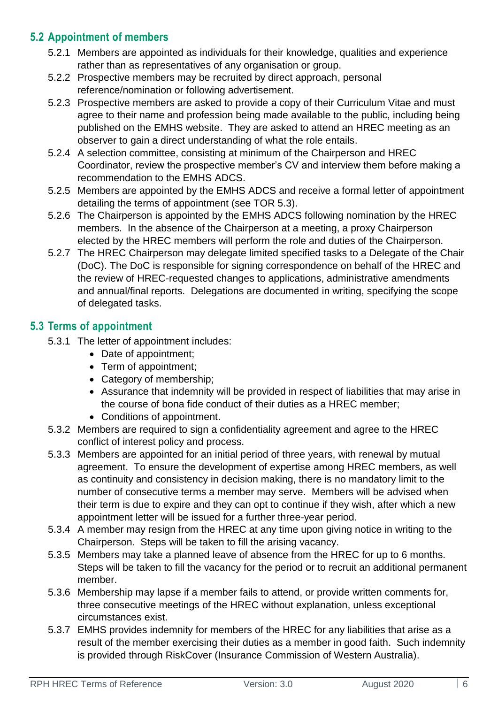### **5.2 Appointment of members**

- 5.2.1 Members are appointed as individuals for their knowledge, qualities and experience rather than as representatives of any organisation or group.
- 5.2.2 Prospective members may be recruited by direct approach, personal reference/nomination or following advertisement.
- 5.2.3 Prospective members are asked to provide a copy of their Curriculum Vitae and must agree to their name and profession being made available to the public, including being published on the [EMHS website.](http://southmetropolitan.health.wa.gov.au/services/about.aspx?SiteID=13&ServiceID=529) They are asked to attend an HREC meeting as an observer to gain a direct understanding of what the role entails.
- 5.2.4 A selection committee, consisting at minimum of the Chairperson and HREC Coordinator, review the prospective member's CV and interview them before making a recommendation to the EMHS ADCS.
- 5.2.5 Members are appointed by the EMHS ADCS and receive a formal letter of appointment detailing the terms of appointment (see TOR 5.3).
- 5.2.6 The Chairperson is appointed by the EMHS ADCS following nomination by the HREC members. In the absence of the Chairperson at a meeting, a proxy Chairperson elected by the HREC members will perform the role and duties of the Chairperson.
- 5.2.7 The HREC Chairperson may delegate limited specified tasks to a Delegate of the Chair (DoC). The DoC is responsible for signing correspondence on behalf of the HREC and the review of HREC-requested changes to applications, administrative amendments and annual/final reports. Delegations are documented in writing, specifying the scope of delegated tasks.

### **5.3 Terms of appointment**

- 5.3.1 The letter of appointment includes:
	- Date of appointment:
	- Term of appointment;
	- Category of membership;
	- Assurance that indemnity will be provided in respect of liabilities that may arise in the course of bona fide conduct of their duties as a HREC member;
	- Conditions of appointment.
- 5.3.2 Members are required to sign a confidentiality agreement and agree to the HREC conflict of interest policy and process.
- 5.3.3 Members are appointed for an initial period of three years, with renewal by mutual agreement. To ensure the development of expertise among HREC members, as well as continuity and consistency in decision making, there is no mandatory limit to the number of consecutive terms a member may serve. Members will be advised when their term is due to expire and they can opt to continue if they wish, after which a new appointment letter will be issued for a further three-year period.
- 5.3.4 A member may resign from the HREC at any time upon giving notice in writing to the Chairperson. Steps will be taken to fill the arising vacancy.
- 5.3.5 Members may take a planned leave of absence from the HREC for up to 6 months. Steps will be taken to fill the vacancy for the period or to recruit an additional permanent member.
- 5.3.6 Membership may lapse if a member fails to attend, or provide written comments for, three consecutive meetings of the HREC without explanation, unless exceptional circumstances exist.
- 5.3.7 EMHS provides indemnity for members of the HREC for any liabilities that arise as a result of the member exercising their duties as a member in good faith. Such indemnity is provided through RiskCover (Insurance Commission of Western Australia).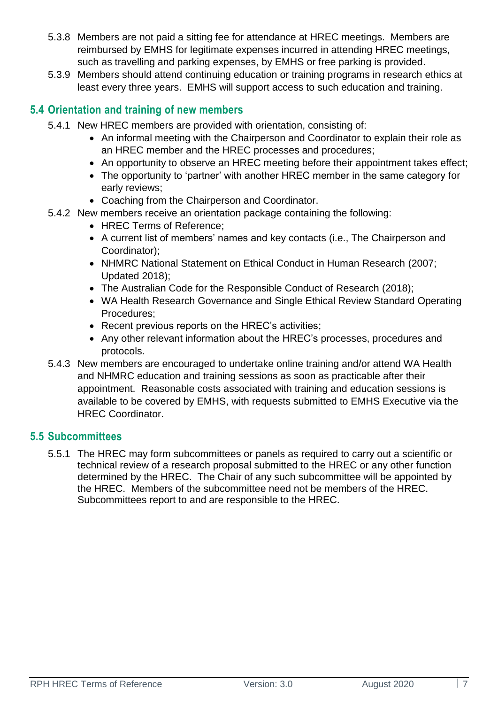- 5.3.8 Members are not paid a sitting fee for attendance at HREC meetings. Members are reimbursed by EMHS for legitimate expenses incurred in attending HREC meetings, such as travelling and parking expenses, by EMHS or free parking is provided.
- 5.3.9 Members should attend continuing education or training programs in research ethics at least every three years. EMHS will support access to such education and training.

#### **5.4 Orientation and training of new members**

- 5.4.1 New HREC members are provided with orientation, consisting of:
	- An informal meeting with the Chairperson and Coordinator to explain their role as an HREC member and the HREC processes and procedures;
	- An opportunity to observe an HREC meeting before their appointment takes effect;
	- The opportunity to 'partner' with another HREC member in the same category for early reviews;
	- Coaching from the Chairperson and Coordinator.
- 5.4.2 New members receive an orientation package containing the following:
	- HREC Terms of Reference;
	- A current list of members' names and key contacts (i.e., The Chairperson and Coordinator);
	- NHMRC National Statement on Ethical Conduct in Human Research (2007; Updated 2018);
	- The Australian Code for the Responsible Conduct of Research (2018);
	- WA Health Research Governance and Single Ethical Review Standard Operating Procedures;
	- Recent previous reports on the HREC's activities;
	- Any other relevant information about the HREC's processes, procedures and protocols.
- 5.4.3 New members are encouraged to undertake online training and/or attend WA Health and NHMRC education and training sessions as soon as practicable after their appointment. Reasonable costs associated with training and education sessions is available to be covered by EMHS, with requests submitted to EMHS Executive via the HREC Coordinator.

#### **5.5 Subcommittees**

5.5.1 The HREC may form subcommittees or panels as required to carry out a scientific or technical review of a research proposal submitted to the HREC or any other function determined by the HREC. The Chair of any such subcommittee will be appointed by the HREC. Members of the subcommittee need not be members of the HREC. Subcommittees report to and are responsible to the HREC.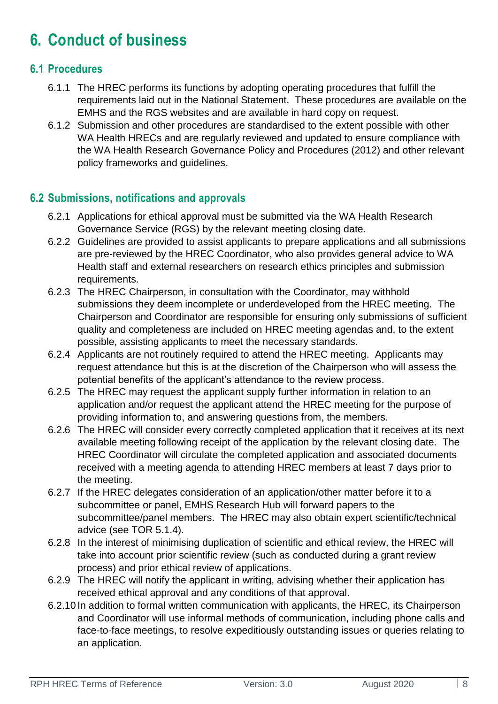## **6. Conduct of business**

#### **6.1 Procedures**

- 6.1.1 The HREC performs its functions by adopting operating procedures that fulfill the requirements laid out in the National Statement. These procedures are available on the EMHS and the RGS websites and are available in hard copy on request.
- 6.1.2 Submission and other procedures are standardised to the extent possible with other WA Health HRECs and are regularly reviewed and updated to ensure compliance with the WA Health Research Governance Policy and Procedures (2012) and other relevant policy frameworks and guidelines.

### **6.2 Submissions, notifications and approvals**

- 6.2.1 Applications for ethical approval must be submitted via the WA Health Research Governance Service (RGS) by the relevant meeting closing date.
- 6.2.2 Guidelines are provided to assist applicants to prepare applications and all submissions are pre-reviewed by the HREC Coordinator, who also provides general advice to WA Health staff and external researchers on research ethics principles and submission requirements.
- 6.2.3 The HREC Chairperson, in consultation with the Coordinator, may withhold submissions they deem incomplete or underdeveloped from the HREC meeting. The Chairperson and Coordinator are responsible for ensuring only submissions of sufficient quality and completeness are included on HREC meeting agendas and, to the extent possible, assisting applicants to meet the necessary standards.
- 6.2.4 Applicants are not routinely required to attend the HREC meeting. Applicants may request attendance but this is at the discretion of the Chairperson who will assess the potential benefits of the applicant's attendance to the review process.
- 6.2.5 The HREC may request the applicant supply further information in relation to an application and/or request the applicant attend the HREC meeting for the purpose of providing information to, and answering questions from, the members.
- 6.2.6 The HREC will consider every correctly completed application that it receives at its next available meeting following receipt of the application by the relevant closing date. The HREC Coordinator will circulate the completed application and associated documents received with a meeting agenda to attending HREC members at least 7 days prior to the meeting.
- 6.2.7 If the HREC delegates consideration of an application/other matter before it to a subcommittee or panel, EMHS Research Hub will forward papers to the subcommittee/panel members. The HREC may also obtain expert scientific/technical advice (see TOR 5.1.4).
- 6.2.8 In the interest of minimising duplication of scientific and ethical review, the HREC will take into account prior scientific review (such as conducted during a grant review process) and prior ethical review of applications.
- 6.2.9 The HREC will notify the applicant in writing, advising whether their application has received ethical approval and any conditions of that approval.
- 6.2.10 In addition to formal written communication with applicants, the HREC, its Chairperson and Coordinator will use informal methods of communication, including phone calls and face-to-face meetings, to resolve expeditiously outstanding issues or queries relating to an application.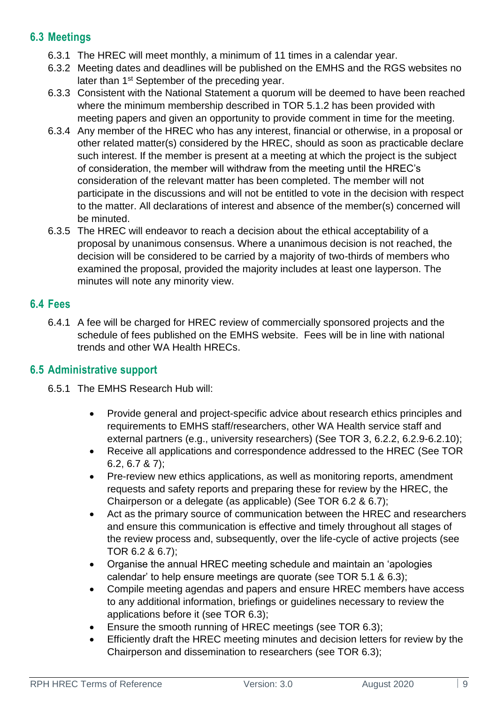### **6.3 Meetings**

- 6.3.1 The HREC will meet monthly, a minimum of 11 times in a calendar year.
- 6.3.2 Meeting dates and deadlines will be published on the EMHS and the RGS websites no later than 1<sup>st</sup> September of the preceding year.
- 6.3.3 Consistent with the National Statement a quorum will be deemed to have been reached where the minimum membership described in TOR 5.1.2 has been provided with meeting papers and given an opportunity to provide comment in time for the meeting.
- 6.3.4 Any member of the HREC who has any interest, financial or otherwise, in a proposal or other related matter(s) considered by the HREC, should as soon as practicable declare such interest. If the member is present at a meeting at which the project is the subject of consideration, the member will withdraw from the meeting until the HREC's consideration of the relevant matter has been completed. The member will not participate in the discussions and will not be entitled to vote in the decision with respect to the matter. All declarations of interest and absence of the member(s) concerned will be minuted.
- 6.3.5 The HREC will endeavor to reach a decision about the ethical acceptability of a proposal by unanimous consensus. Where a unanimous decision is not reached, the decision will be considered to be carried by a majority of two-thirds of members who examined the proposal, provided the majority includes at least one layperson. The minutes will note any minority view.

#### **6.4 Fees**

6.4.1 A fee will be charged for HREC review of commercially sponsored projects and the schedule of fees published on the EMHS website. Fees will be in line with national trends and other WA Health HRECs.

### **6.5 Administrative support**

- 6.5.1 The EMHS Research Hub will:
	- Provide general and project-specific advice about research ethics principles and requirements to EMHS staff/researchers, other WA Health service staff and external partners (e.g., university researchers) (See TOR 3, 6.2.2, 6.2.9-6.2.10);
	- Receive all applications and correspondence addressed to the HREC (See TOR 6.2, 6.7 & 7);
	- Pre-review new ethics applications, as well as monitoring reports, amendment requests and safety reports and preparing these for review by the HREC, the Chairperson or a delegate (as applicable) (See TOR 6.2 & 6.7);
	- Act as the primary source of communication between the HREC and researchers and ensure this communication is effective and timely throughout all stages of the review process and, subsequently, over the life-cycle of active projects (see TOR 6.2 & 6.7);
	- Organise the annual HREC meeting schedule and maintain an 'apologies calendar' to help ensure meetings are quorate (see TOR 5.1 & 6.3);
	- Compile meeting agendas and papers and ensure HREC members have access to any additional information, briefings or guidelines necessary to review the applications before it (see TOR 6.3);
	- Ensure the smooth running of HREC meetings (see TOR 6.3);
	- Efficiently draft the HREC meeting minutes and decision letters for review by the Chairperson and dissemination to researchers (see TOR 6.3);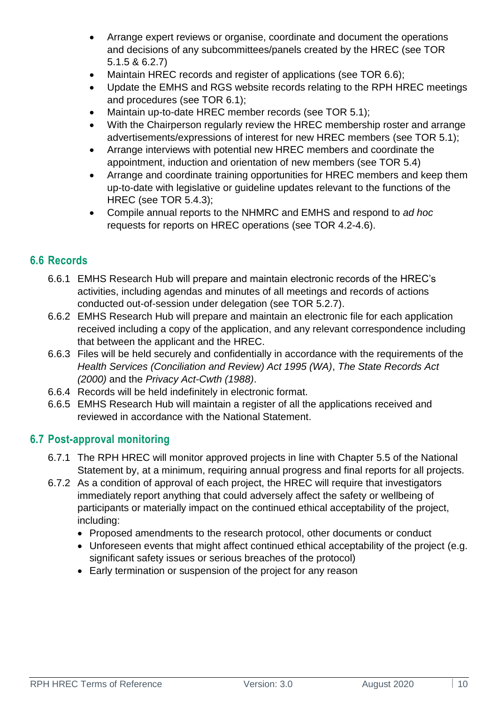- Arrange expert reviews or organise, coordinate and document the operations and decisions of any subcommittees/panels created by the HREC (see TOR 5.1.5 & 6.2.7)
- Maintain HREC records and register of applications (see TOR 6.6);
- Update the EMHS and RGS website records relating to the RPH HREC meetings and procedures (see TOR 6.1);
- Maintain up-to-date HREC member records (see TOR 5.1);
- With the Chairperson regularly review the HREC membership roster and arrange advertisements/expressions of interest for new HREC members (see TOR 5.1);
- Arrange interviews with potential new HREC members and coordinate the appointment, induction and orientation of new members (see TOR 5.4)
- Arrange and coordinate training opportunities for HREC members and keep them up-to-date with legislative or guideline updates relevant to the functions of the HREC (see TOR 5.4.3);
- Compile annual reports to the NHMRC and EMHS and respond to *ad hoc*  requests for reports on HREC operations (see TOR 4.2-4.6).

### **6.6 Records**

- 6.6.1 EMHS Research Hub will prepare and maintain electronic records of the HREC's activities, including agendas and minutes of all meetings and records of actions conducted out-of-session under delegation (see TOR 5.2.7).
- 6.6.2 EMHS Research Hub will prepare and maintain an electronic file for each application received including a copy of the application, and any relevant correspondence including that between the applicant and the HREC.
- 6.6.3 Files will be held securely and confidentially in accordance with the requirements of the *Health Services (Conciliation and Review) Act 1995 (WA)*, *The State Records Act (2000)* and the *Privacy Act-Cwth (1988)*.
- 6.6.4 Records will be held indefinitely in electronic format.
- 6.6.5 EMHS Research Hub will maintain a register of all the applications received and reviewed in accordance with the National Statement.

### **6.7 Post-approval monitoring**

- 6.7.1 The RPH HREC will monitor approved projects in line with Chapter 5.5 of the National Statement by, at a minimum, requiring annual progress and final reports for all projects.
- 6.7.2 As a condition of approval of each project, the HREC will require that investigators immediately report anything that could adversely affect the safety or wellbeing of participants or materially impact on the continued ethical acceptability of the project, including:
	- Proposed amendments to the research protocol, other documents or conduct
	- Unforeseen events that might affect continued ethical acceptability of the project (e.g. significant safety issues or serious breaches of the protocol)
	- Early termination or suspension of the project for any reason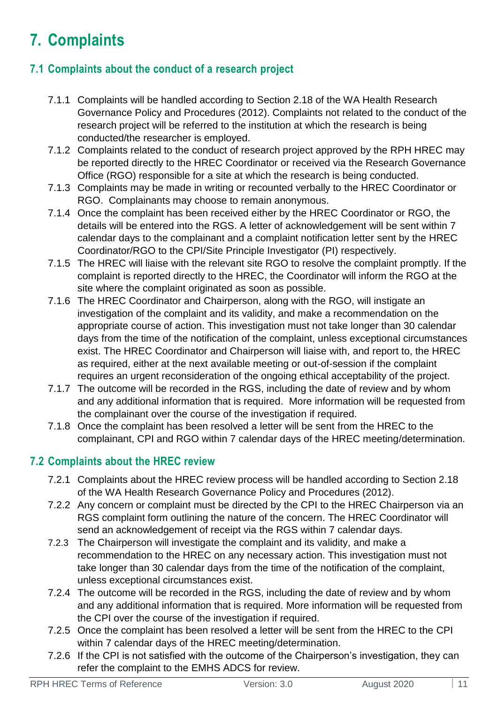# **7. Complaints**

### **7.1 Complaints about the conduct of a research project**

- 7.1.1 Complaints will be handled according to Section 2.18 of the WA Health Research Governance Policy and Procedures (2012). Complaints not related to the conduct of the research project will be referred to the institution at which the research is being conducted/the researcher is employed.
- 7.1.2 Complaints related to the conduct of research project approved by the RPH HREC may be reported directly to the HREC Coordinator or received via the Research Governance Office (RGO) responsible for a site at which the research is being conducted.
- 7.1.3 Complaints may be made in writing or recounted verbally to the HREC Coordinator or RGO. Complainants may choose to remain anonymous.
- 7.1.4 Once the complaint has been received either by the HREC Coordinator or RGO, the details will be entered into the RGS. A letter of acknowledgement will be sent within 7 calendar days to the complainant and a complaint notification letter sent by the HREC Coordinator/RGO to the CPI/Site Principle Investigator (PI) respectively.
- 7.1.5 The HREC will liaise with the relevant site RGO to resolve the complaint promptly. If the complaint is reported directly to the HREC, the Coordinator will inform the RGO at the site where the complaint originated as soon as possible.
- 7.1.6 The HREC Coordinator and Chairperson, along with the RGO, will instigate an investigation of the complaint and its validity, and make a recommendation on the appropriate course of action. This investigation must not take longer than 30 calendar days from the time of the notification of the complaint, unless exceptional circumstances exist. The HREC Coordinator and Chairperson will liaise with, and report to, the HREC as required, either at the next available meeting or out-of-session if the complaint requires an urgent reconsideration of the ongoing ethical acceptability of the project.
- 7.1.7 The outcome will be recorded in the RGS, including the date of review and by whom and any additional information that is required. More information will be requested from the complainant over the course of the investigation if required.
- 7.1.8 Once the complaint has been resolved a letter will be sent from the HREC to the complainant, CPI and RGO within 7 calendar days of the HREC meeting/determination.

### **7.2 Complaints about the HREC review**

- 7.2.1 Complaints about the HREC review process will be handled according to Section 2.18 of the WA Health Research Governance Policy and Procedures (2012).
- 7.2.2 Any concern or complaint must be directed by the CPI to the HREC Chairperson via an RGS complaint form outlining the nature of the concern. The HREC Coordinator will send an acknowledgement of receipt via the RGS within 7 calendar days.
- 7.2.3 The Chairperson will investigate the complaint and its validity, and make a recommendation to the HREC on any necessary action. This investigation must not take longer than 30 calendar days from the time of the notification of the complaint, unless exceptional circumstances exist.
- 7.2.4 The outcome will be recorded in the RGS, including the date of review and by whom and any additional information that is required. More information will be requested from the CPI over the course of the investigation if required.
- 7.2.5 Once the complaint has been resolved a letter will be sent from the HREC to the CPI within 7 calendar days of the HREC meeting/determination.
- 7.2.6 If the CPI is not satisfied with the outcome of the Chairperson's investigation, they can refer the complaint to the EMHS ADCS for review.